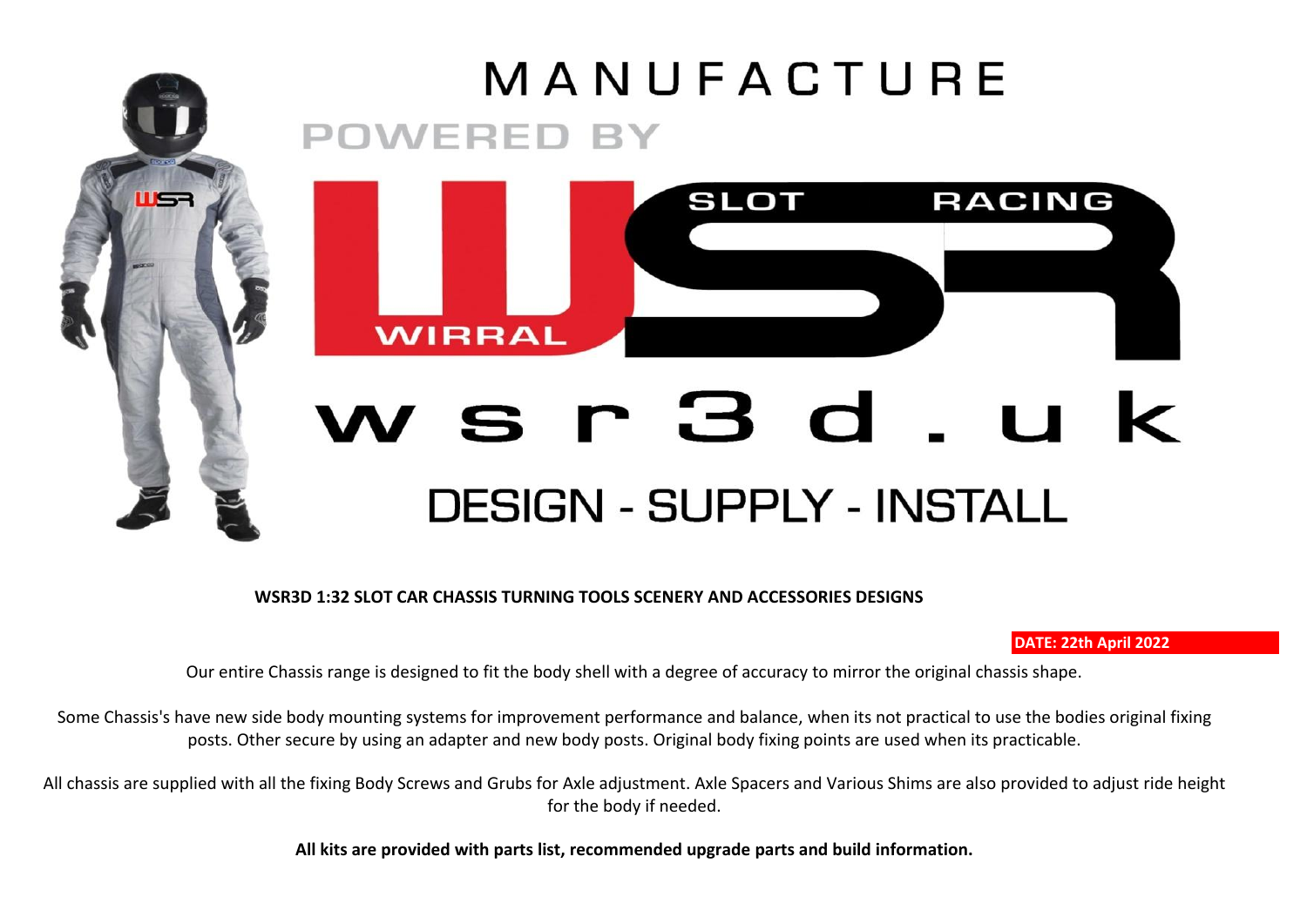## MANUFACTURE **POWERED BY**



## sr3d.uk **DESIGN - SUPPLY - INSTALL**

**WSR3D 1:32 SLOT CAR CHASSIS TURNING TOOLS SCENERY AND ACCESSORIES DESIGNS** 

115

## **DATE: 22th April 2022**

Our entire Chassis range is designed to fit the body shell with a degree of accuracy to mirror the original chassis shape.

Some Chassis's have new side body mounting systems for improvement performance and balance, when its not practical to use the bodies original fixing posts. Other secure by using an adapter and new body posts. Original body fixing points are used when its practicable.

All chassis are supplied with all the fixing Body Screws and Grubs for Axle adjustment. Axle Spacers and Various Shims are also provided to adjust ride height for the body if needed.

**All kits are provided with parts list, recommended upgrade parts and build information.**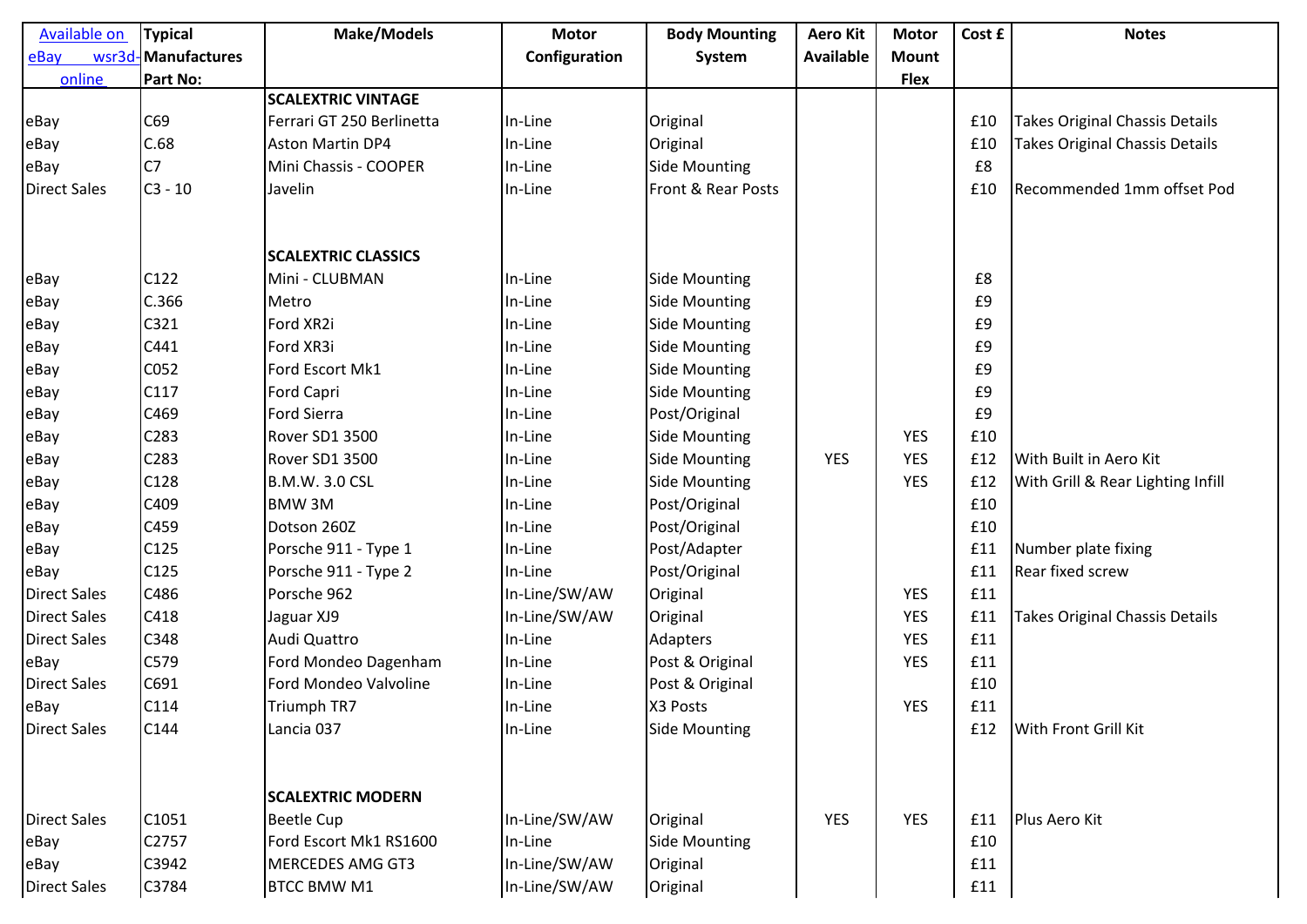| <b>Available on</b> | <b>Typical</b>     | <b>Make/Models</b>         | <b>Motor</b>  | <b>Body Mounting</b> | <b>Aero Kit</b> | <b>Motor</b> | Cost £ | <b>Notes</b>                          |
|---------------------|--------------------|----------------------------|---------------|----------------------|-----------------|--------------|--------|---------------------------------------|
| eBay                | wsr3d-Manufactures |                            | Configuration | System               | Available       | <b>Mount</b> |        |                                       |
| online              | Part No:           |                            |               |                      |                 | <b>Flex</b>  |        |                                       |
|                     |                    | <b>SCALEXTRIC VINTAGE</b>  |               |                      |                 |              |        |                                       |
| eBay                | C69                | Ferrari GT 250 Berlinetta  | In-Line       | Original             |                 |              | £10    | <b>Takes Original Chassis Details</b> |
| eBay                | C.68               | <b>Aston Martin DP4</b>    | In-Line       | Original             |                 |              | £10    | <b>Takes Original Chassis Details</b> |
| eBay                | C <sub>7</sub>     | Mini Chassis - COOPER      | In-Line       | Side Mounting        |                 |              | £8     |                                       |
| <b>Direct Sales</b> | $C3 - 10$          | Javelin                    | In-Line       | Front & Rear Posts   |                 |              | £10    | Recommended 1mm offset Pod            |
|                     |                    | <b>SCALEXTRIC CLASSICS</b> |               |                      |                 |              |        |                                       |
| eBay                | C122               | Mini - CLUBMAN             | In-Line       | <b>Side Mounting</b> |                 |              | £8     |                                       |
| eBay                | C.366              | Metro                      | In-Line       | <b>Side Mounting</b> |                 |              | £9     |                                       |
| eBay                | C321               | Ford XR2i                  | In-Line       | <b>Side Mounting</b> |                 |              | £9     |                                       |
| eBay                | C441               | Ford XR3i                  | In-Line       | <b>Side Mounting</b> |                 |              | £9     |                                       |
| eBay                | C052               | Ford Escort Mk1            | In-Line       | <b>Side Mounting</b> |                 |              | £9     |                                       |
| eBay                | C117               | <b>Ford Capri</b>          | In-Line       | <b>Side Mounting</b> |                 |              | £9     |                                       |
| eBay                | C469               | <b>Ford Sierra</b>         | In-Line       | Post/Original        |                 |              | £9     |                                       |
| eBay                | C283               | Rover SD1 3500             | In-Line       | <b>Side Mounting</b> |                 | <b>YES</b>   | £10    |                                       |
| eBay                | C283               | Rover SD1 3500             | In-Line       | <b>Side Mounting</b> | <b>YES</b>      | <b>YES</b>   | £12    | With Built in Aero Kit                |
| eBay                | C128               | <b>B.M.W. 3.0 CSL</b>      | In-Line       | <b>Side Mounting</b> |                 | <b>YES</b>   | £12    | With Grill & Rear Lighting Infill     |
| eBay                | C409               | BMW 3M                     | In-Line       | Post/Original        |                 |              | £10    |                                       |
| eBay                | C459               | Dotson 260Z                | In-Line       | Post/Original        |                 |              | £10    |                                       |
| eBay                | C125               | Porsche 911 - Type 1       | In-Line       | Post/Adapter         |                 |              | £11    | Number plate fixing                   |
| eBay                | C125               | Porsche 911 - Type 2       | In-Line       | Post/Original        |                 |              | £11    | Rear fixed screw                      |
| <b>Direct Sales</b> | C486               | Porsche 962                | In-Line/SW/AW | Original             |                 | <b>YES</b>   | £11    |                                       |
| <b>Direct Sales</b> | C418               | Jaguar XJ9                 | In-Line/SW/AW | Original             |                 | <b>YES</b>   | £11    | <b>Takes Original Chassis Details</b> |
| <b>Direct Sales</b> | C348               | Audi Quattro               | In-Line       | Adapters             |                 | <b>YES</b>   | £11    |                                       |
| eBay                | C579               | Ford Mondeo Dagenham       | In-Line       | Post & Original      |                 | <b>YES</b>   | £11    |                                       |
| <b>Direct Sales</b> | C691               | Ford Mondeo Valvoline      | In-Line       | Post & Original      |                 |              | £10    |                                       |
| eBay                | C114               | Triumph TR7                | In-Line       | X3 Posts             |                 | <b>YES</b>   | £11    |                                       |
| <b>Direct Sales</b> | C144               | Lancia 037                 | In-Line       | <b>Side Mounting</b> |                 |              | £12    | <b>With Front Grill Kit</b>           |
|                     |                    | <b>SCALEXTRIC MODERN</b>   |               |                      |                 |              |        |                                       |
| <b>Direct Sales</b> | C1051              | <b>Beetle Cup</b>          | In-Line/SW/AW | Original             | <b>YES</b>      | <b>YES</b>   | £11    | Plus Aero Kit                         |
| eBay                | C2757              | Ford Escort Mk1 RS1600     | In-Line       | <b>Side Mounting</b> |                 |              | £10    |                                       |
| eBay                | C3942              | <b>MERCEDES AMG GT3</b>    | In-Line/SW/AW | Original             |                 |              | £11    |                                       |
| <b>Direct Sales</b> | C3784              | <b>BTCC BMW M1</b>         | In-Line/SW/AW | Original             |                 |              | £11    |                                       |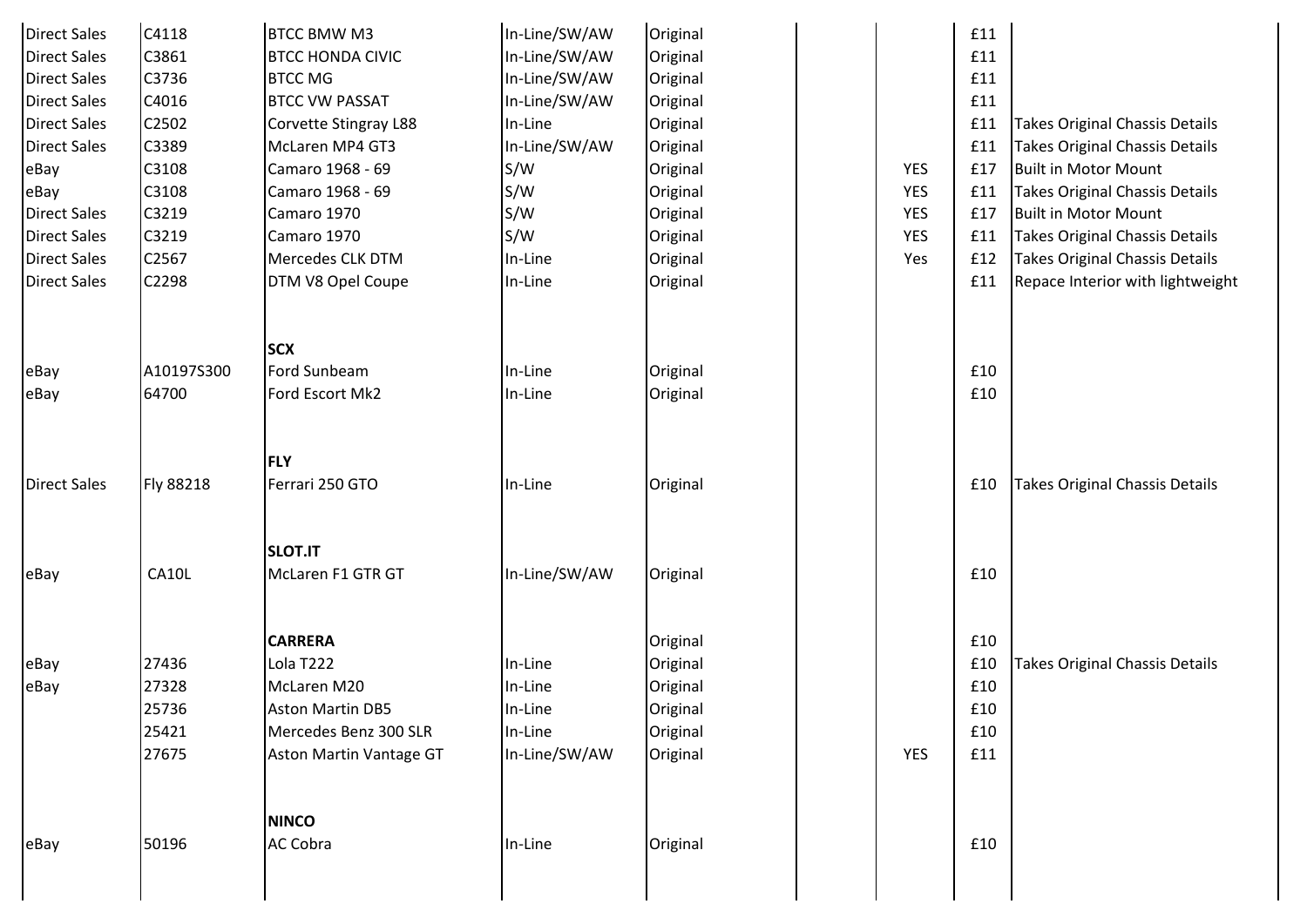| <b>Direct Sales</b> | C4118      | <b>BTCC BMW M3</b>            | In-Line/SW/AW | Original |            | £11 |                                       |
|---------------------|------------|-------------------------------|---------------|----------|------------|-----|---------------------------------------|
| <b>Direct Sales</b> | C3861      | <b>BTCC HONDA CIVIC</b>       | In-Line/SW/AW | Original |            | £11 |                                       |
| <b>Direct Sales</b> | C3736      | <b>BTCC MG</b>                | In-Line/SW/AW | Original |            | £11 |                                       |
| <b>Direct Sales</b> | C4016      | <b>BTCC VW PASSAT</b>         | In-Line/SW/AW | Original |            | £11 |                                       |
| <b>Direct Sales</b> | C2502      | Corvette Stingray L88         | In-Line       | Original |            | £11 | <b>Takes Original Chassis Details</b> |
| <b>Direct Sales</b> | C3389      | McLaren MP4 GT3               | In-Line/SW/AW | Original |            | £11 | <b>Takes Original Chassis Details</b> |
| eBay                | C3108      | Camaro 1968 - 69              | S/W           | Original | YES        | £17 | <b>Built in Motor Mount</b>           |
| eBay                | C3108      | Camaro 1968 - 69              | S/W           | Original | YES        | £11 | <b>Takes Original Chassis Details</b> |
| <b>Direct Sales</b> | C3219      | Camaro 1970                   | S/W           | Original | YES        | £17 | <b>Built in Motor Mount</b>           |
| <b>Direct Sales</b> | C3219      | Camaro 1970                   | S/W           | Original | YES        | £11 | <b>Takes Original Chassis Details</b> |
| <b>Direct Sales</b> | C2567      | Mercedes CLK DTM              | In-Line       | Original | Yes        | £12 | Takes Original Chassis Details        |
| <b>Direct Sales</b> | C2298      | DTM V8 Opel Coupe             | In-Line       | Original |            | £11 | Repace Interior with lightweight      |
|                     |            |                               |               |          |            |     |                                       |
|                     |            | <b>SCX</b>                    |               |          |            |     |                                       |
| eBay                | A10197S300 | Ford Sunbeam                  | In-Line       | Original |            | £10 |                                       |
| eBay                | 64700      | Ford Escort Mk2               | In-Line       | Original |            | £10 |                                       |
|                     |            |                               |               |          |            |     |                                       |
| <b>Direct Sales</b> | Fly 88218  | <b>FLY</b><br>Ferrari 250 GTO | In-Line       | Original |            | £10 | <b>Takes Original Chassis Details</b> |
|                     |            |                               |               |          |            |     |                                       |
|                     |            | <b>SLOT.IT</b>                |               |          |            |     |                                       |
| eBay                | CA10L      | McLaren F1 GTR GT             | In-Line/SW/AW | Original |            | £10 |                                       |
|                     |            |                               |               |          |            |     |                                       |
|                     |            | <b>CARRERA</b>                |               | Original |            | £10 |                                       |
| eBay                | 27436      | Lola T222                     | In-Line       | Original |            | £10 | Takes Original Chassis Details        |
| eBay                | 27328      | McLaren M20                   | In-Line       | Original |            | £10 |                                       |
|                     | 25736      | <b>Aston Martin DB5</b>       | In-Line       | Original |            | £10 |                                       |
|                     | 25421      | Mercedes Benz 300 SLR         | In-Line       | Original |            | £10 |                                       |
|                     | 27675      | Aston Martin Vantage GT       | In-Line/SW/AW | Original | <b>YES</b> | £11 |                                       |
|                     |            |                               |               |          |            |     |                                       |
|                     |            | <b>NINCO</b>                  |               |          |            |     |                                       |
| eBay                | 50196      | <b>AC Cobra</b>               | In-Line       | Original |            | £10 |                                       |
|                     |            |                               |               |          |            |     |                                       |
|                     |            |                               |               |          |            |     |                                       |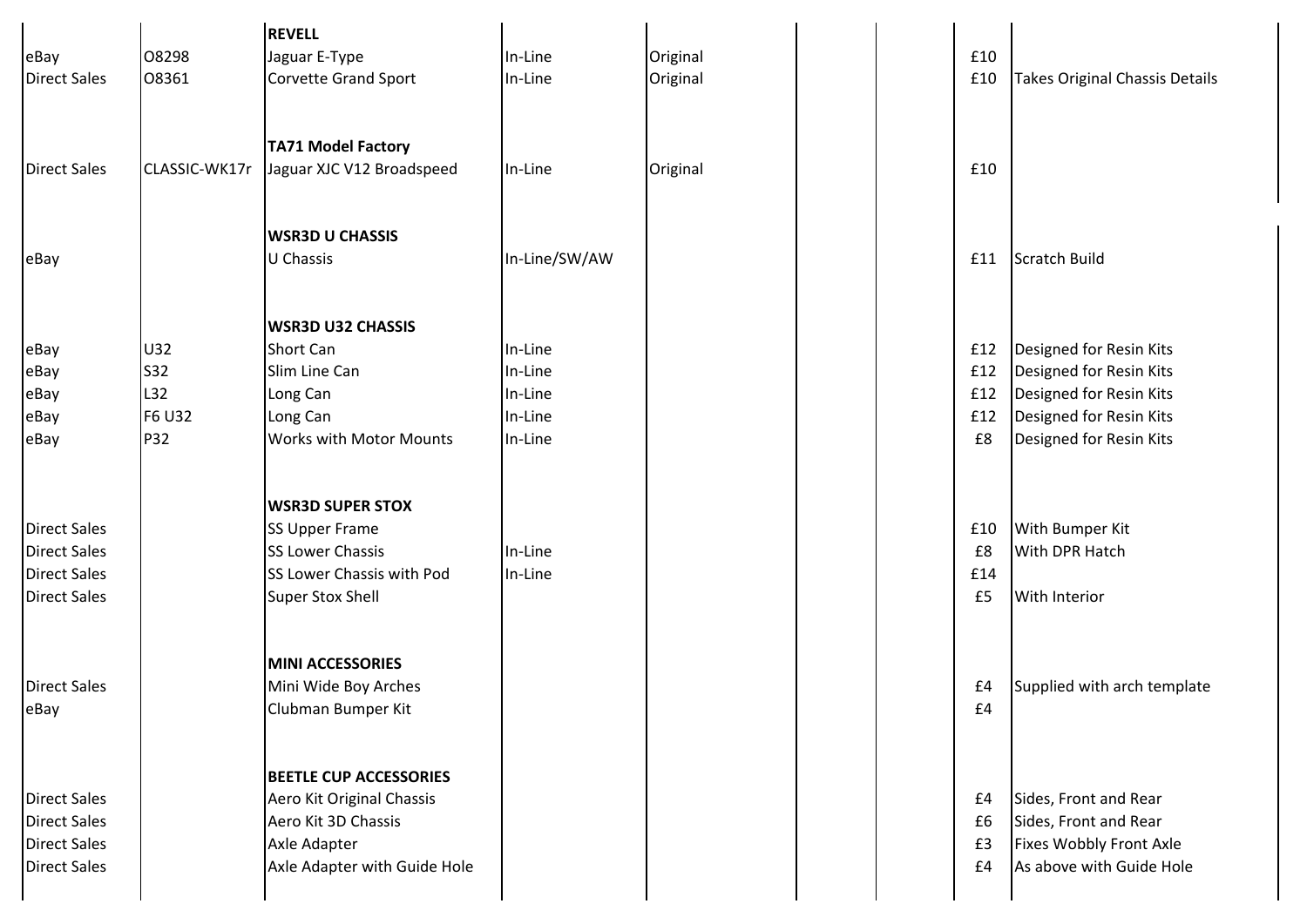|                     |               | <b>REVELL</b>                 |               |          |  |     |                                |
|---------------------|---------------|-------------------------------|---------------|----------|--|-----|--------------------------------|
| eBay                | 08298         | Jaguar E-Type                 | In-Line       | Original |  | £10 |                                |
| <b>Direct Sales</b> | 08361         | <b>Corvette Grand Sport</b>   | In-Line       | Original |  | £10 | Takes Original Chassis Details |
|                     |               |                               |               |          |  |     |                                |
|                     |               |                               |               |          |  |     |                                |
|                     |               | <b>TA71 Model Factory</b>     |               |          |  |     |                                |
| <b>Direct Sales</b> | CLASSIC-WK17r | Jaguar XJC V12 Broadspeed     | In-Line       | Original |  | £10 |                                |
|                     |               |                               |               |          |  |     |                                |
|                     |               |                               |               |          |  |     |                                |
|                     |               | <b>WSR3D U CHASSIS</b>        |               |          |  |     |                                |
| eBay                |               | U Chassis                     | In-Line/SW/AW |          |  | £11 | Scratch Build                  |
|                     |               |                               |               |          |  |     |                                |
|                     |               |                               |               |          |  |     |                                |
|                     |               | <b>WSR3D U32 CHASSIS</b>      |               |          |  |     |                                |
| eBay                | U32           | Short Can                     | In-Line       |          |  | £12 | Designed for Resin Kits        |
| eBay                | <b>S32</b>    | Slim Line Can                 | In-Line       |          |  | £12 | Designed for Resin Kits        |
| eBay                | L32           | Long Can                      | In-Line       |          |  | £12 | Designed for Resin Kits        |
| eBay                | F6 U32        | Long Can                      | In-Line       |          |  | £12 | Designed for Resin Kits        |
| eBay                | P32           | Works with Motor Mounts       | In-Line       |          |  | £8  | Designed for Resin Kits        |
|                     |               |                               |               |          |  |     |                                |
|                     |               |                               |               |          |  |     |                                |
|                     |               | <b>WSR3D SUPER STOX</b>       |               |          |  |     |                                |
| <b>Direct Sales</b> |               | <b>SS Upper Frame</b>         |               |          |  | £10 | <b>With Bumper Kit</b>         |
| <b>Direct Sales</b> |               | SS Lower Chassis              | In-Line       |          |  | £8  | <b>With DPR Hatch</b>          |
| <b>Direct Sales</b> |               | SS Lower Chassis with Pod     | In-Line       |          |  | £14 |                                |
| <b>Direct Sales</b> |               | <b>Super Stox Shell</b>       |               |          |  | £5  | <b>With Interior</b>           |
|                     |               |                               |               |          |  |     |                                |
|                     |               |                               |               |          |  |     |                                |
|                     |               | <b>MINI ACCESSORIES</b>       |               |          |  |     |                                |
| <b>Direct Sales</b> |               | Mini Wide Boy Arches          |               |          |  | £4  | Supplied with arch template    |
| eBay                |               | Clubman Bumper Kit            |               |          |  | £4  |                                |
|                     |               |                               |               |          |  |     |                                |
|                     |               | <b>BEETLE CUP ACCESSORIES</b> |               |          |  |     |                                |
| <b>Direct Sales</b> |               | Aero Kit Original Chassis     |               |          |  | £4  | Sides, Front and Rear          |
| <b>Direct Sales</b> |               | Aero Kit 3D Chassis           |               |          |  | £6  | Sides, Front and Rear          |
| <b>Direct Sales</b> |               | Axle Adapter                  |               |          |  | £3  | Fixes Wobbly Front Axle        |
| <b>Direct Sales</b> |               | Axle Adapter with Guide Hole  |               |          |  | £4  | As above with Guide Hole       |
|                     |               |                               |               |          |  |     |                                |
|                     |               |                               |               |          |  |     |                                |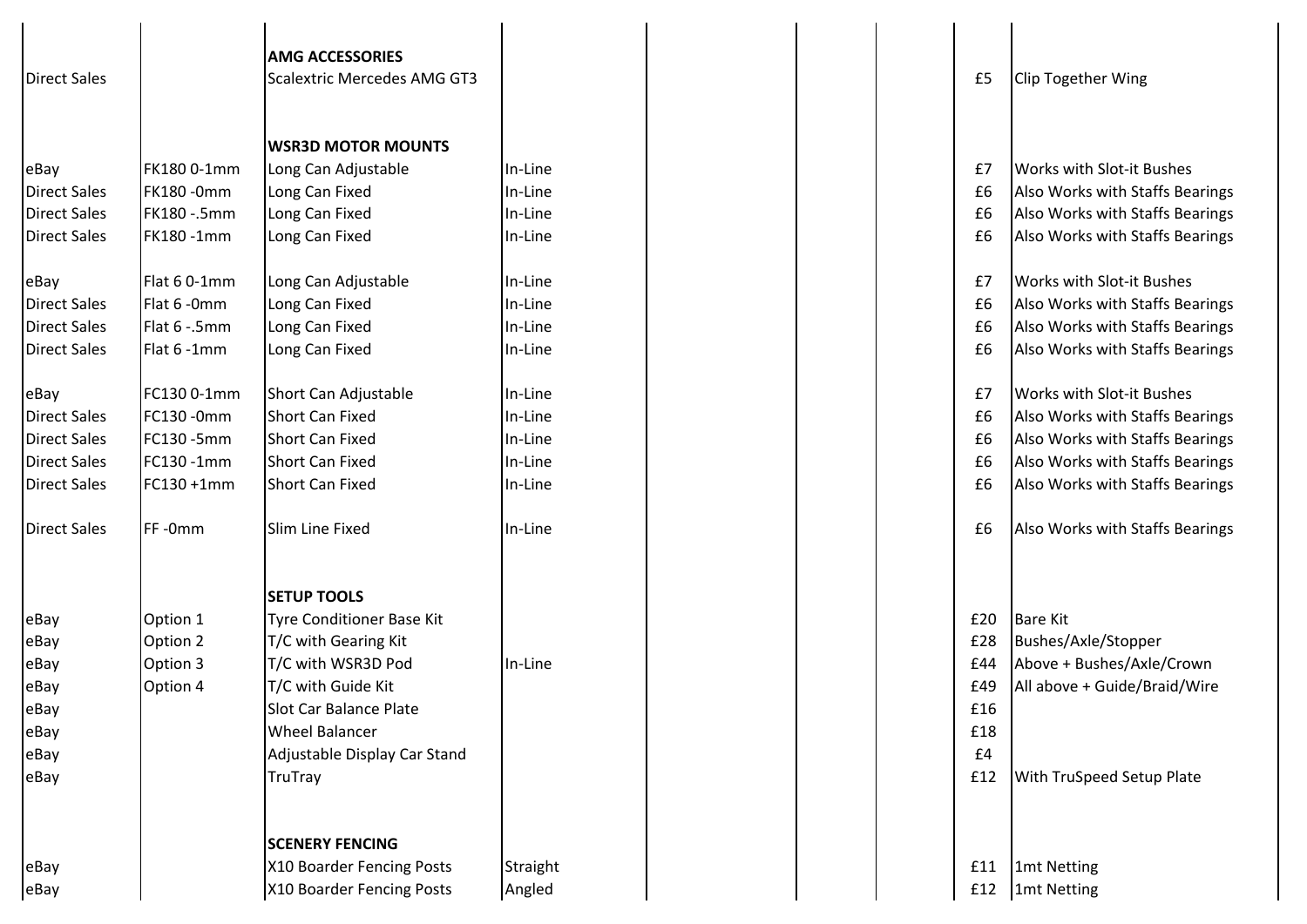| <b>Direct Sales</b> |                  | <b>AMG ACCESSORIES</b><br><b>Scalextric Mercedes AMG GT3</b><br><b>WSR3D MOTOR MOUNTS</b> |          |  | £5  | <b>Clip Together Wing</b>        |
|---------------------|------------------|-------------------------------------------------------------------------------------------|----------|--|-----|----------------------------------|
| eBay                | FK1800-1mm       | Long Can Adjustable                                                                       | In-Line  |  | £7  | <b>Works with Slot-it Bushes</b> |
| <b>Direct Sales</b> | <b>FK180-0mm</b> | Long Can Fixed                                                                            | In-Line  |  | £6  | Also Works with Staffs Bearings  |
| <b>Direct Sales</b> | FK180 -.5mm      | Long Can Fixed                                                                            | In-Line  |  | £6  | Also Works with Staffs Bearings  |
| <b>Direct Sales</b> | FK180-1mm        | Long Can Fixed                                                                            | In-Line  |  | £6  | Also Works with Staffs Bearings  |
| eBay                | Flat 60-1mm      | Long Can Adjustable                                                                       | In-Line  |  | £7  | <b>Works with Slot-it Bushes</b> |
| <b>Direct Sales</b> | Flat 6 - 0mm     | Long Can Fixed                                                                            | In-Line  |  | £6  | Also Works with Staffs Bearings  |
| <b>Direct Sales</b> | Flat 6 - .5mm    | Long Can Fixed                                                                            | In-Line  |  | £6  | Also Works with Staffs Bearings  |
| <b>Direct Sales</b> | Flat 6 -1mm      | Long Can Fixed                                                                            | In-Line  |  | £6  | Also Works with Staffs Bearings  |
| eBay                | FC130 0-1mm      | Short Can Adjustable                                                                      | In-Line  |  | £7  | <b>Works with Slot-it Bushes</b> |
| <b>Direct Sales</b> | FC130 - 0mm      | <b>Short Can Fixed</b>                                                                    | In-Line  |  | £6  | Also Works with Staffs Bearings  |
| <b>Direct Sales</b> | FC130 - 5mm      | Short Can Fixed                                                                           | In-Line  |  | £6  | Also Works with Staffs Bearings  |
| <b>Direct Sales</b> | FC130 -1mm       | <b>Short Can Fixed</b>                                                                    | In-Line  |  | £6  | Also Works with Staffs Bearings  |
| <b>Direct Sales</b> | FC130 +1mm       | Short Can Fixed                                                                           | In-Line  |  | £6  | Also Works with Staffs Bearings  |
| <b>Direct Sales</b> | FF-0mm           | Slim Line Fixed                                                                           | In-Line  |  | £6  | Also Works with Staffs Bearings  |
|                     |                  | <b>SETUP TOOLS</b>                                                                        |          |  |     |                                  |
| eBay                | Option 1         | <b>Tyre Conditioner Base Kit</b>                                                          |          |  | £20 | <b>Bare Kit</b>                  |
| eBay                | Option 2         | T/C with Gearing Kit                                                                      |          |  | £28 | Bushes/Axle/Stopper              |
| eBay                | Option 3         | T/C with WSR3D Pod                                                                        | In-Line  |  | £44 | Above + Bushes/Axle/Crown        |
| eBay                | Option 4         | T/C with Guide Kit                                                                        |          |  | £49 | All above + Guide/Braid/Wire     |
| eBay                |                  | <b>Slot Car Balance Plate</b>                                                             |          |  | £16 |                                  |
| eBay                |                  | <b>Wheel Balancer</b>                                                                     |          |  | £18 |                                  |
| eBay                |                  | Adjustable Display Car Stand                                                              |          |  | £4  |                                  |
| eBay                |                  | TruTray                                                                                   |          |  | £12 | <b>With TruSpeed Setup Plate</b> |
|                     |                  | <b>SCENERY FENCING</b>                                                                    |          |  |     |                                  |
| eBay                |                  | X10 Boarder Fencing Posts                                                                 | Straight |  | £11 | 1mt Netting                      |
| eBay                |                  | X10 Boarder Fencing Posts                                                                 | Angled   |  | £12 | 1mt Netting                      |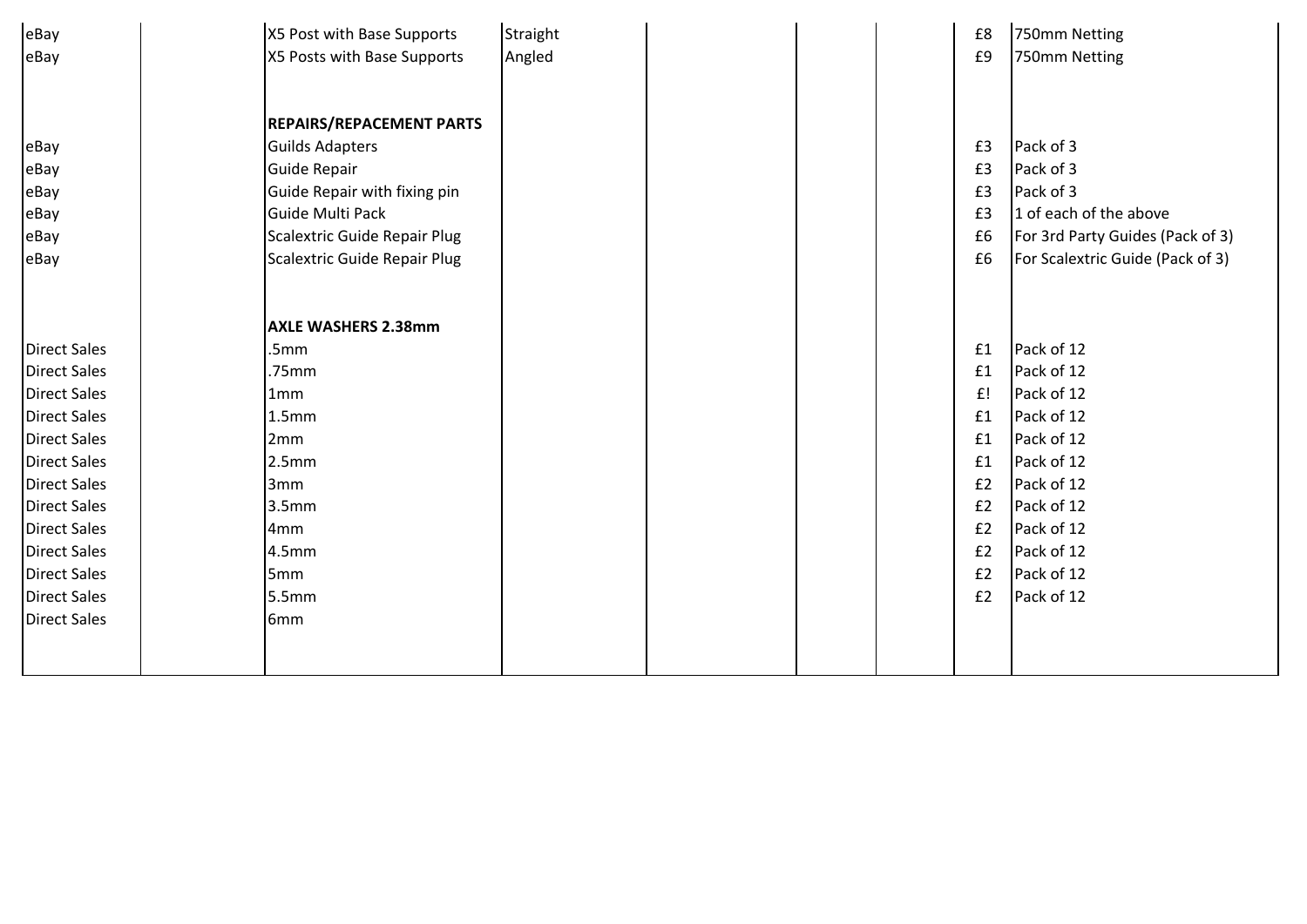| eBay                | X5 Post with Base Supports      | Straight |  | £8 | 750mm Netting                    |
|---------------------|---------------------------------|----------|--|----|----------------------------------|
| eBay                | X5 Posts with Base Supports     | Angled   |  | £9 | 750mm Netting                    |
|                     |                                 |          |  |    |                                  |
|                     |                                 |          |  |    |                                  |
|                     | <b>REPAIRS/REPACEMENT PARTS</b> |          |  |    |                                  |
| eBay                | <b>Guilds Adapters</b>          |          |  | £3 | Pack of 3                        |
| eBay                | Guide Repair                    |          |  | £3 | Pack of 3                        |
| eBay                | Guide Repair with fixing pin    |          |  | £3 | Pack of 3                        |
| eBay                | Guide Multi Pack                |          |  | £3 | 1 of each of the above           |
| eBay                | Scalextric Guide Repair Plug    |          |  | £6 | For 3rd Party Guides (Pack of 3) |
| eBay                | Scalextric Guide Repair Plug    |          |  | £6 | For Scalextric Guide (Pack of 3) |
|                     |                                 |          |  |    |                                  |
|                     |                                 |          |  |    |                                  |
|                     | <b>AXLE WASHERS 2.38mm</b>      |          |  |    |                                  |
| <b>Direct Sales</b> | .5mm                            |          |  | £1 | Pack of 12                       |
| <b>Direct Sales</b> | .75mm                           |          |  | £1 | Pack of 12                       |
| <b>Direct Sales</b> | 1mm                             |          |  | £! | Pack of 12                       |
| <b>Direct Sales</b> | 1.5 <sub>mm</sub>               |          |  | £1 | Pack of 12                       |
| <b>Direct Sales</b> | 2 <sub>mm</sub>                 |          |  | £1 | Pack of 12                       |
| <b>Direct Sales</b> | 2.5mm                           |          |  | £1 | Pack of 12                       |
| <b>Direct Sales</b> | 3mm                             |          |  | E2 | Pack of 12                       |
| <b>Direct Sales</b> | 3.5 <sub>mm</sub>               |          |  | £2 | Pack of 12                       |
| <b>Direct Sales</b> | 4mm                             |          |  | £2 | Pack of 12                       |
| <b>Direct Sales</b> | 4.5mm                           |          |  | E2 | Pack of 12                       |
| <b>Direct Sales</b> | 5 <sub>mm</sub>                 |          |  | E2 | Pack of 12                       |
| <b>Direct Sales</b> | 5.5mm                           |          |  | £2 | Pack of 12                       |
| <b>Direct Sales</b> | 6 <sub>mm</sub>                 |          |  |    |                                  |
|                     |                                 |          |  |    |                                  |
|                     |                                 |          |  |    |                                  |